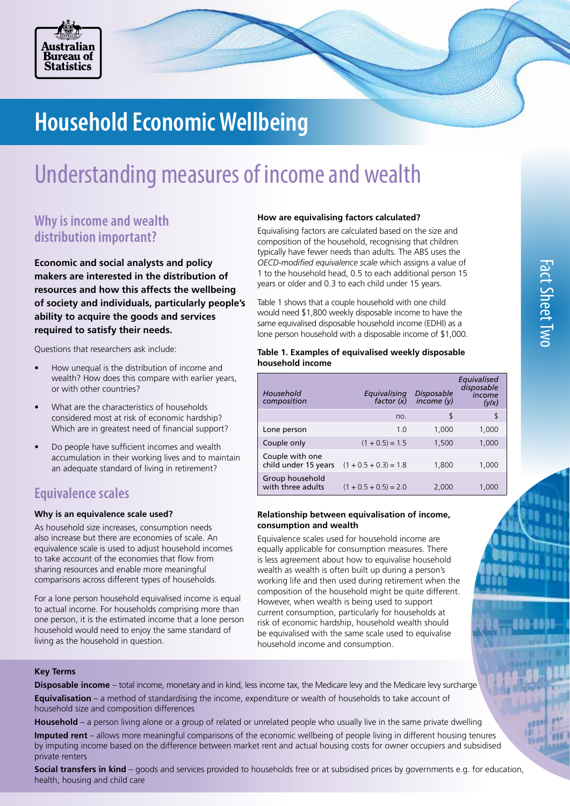

# **Household Economic Wellbeing**

## Understanding measures of income and wealth

## **Why is income and wealth distribution important?**

**Economic and social analysts and policy makers are interested in the distribution of resources and how this affects the wellbeing of society and individuals, particularly people's ability to acquire the goods and services required to satisfy their needs.** 

Questions that researchers ask include:

- How unequal is the distribution of income and wealth? How does this compare with earlier years, or with other countries?
- What are the characteristics of households considered most at risk of economic hardship? Which are in greatest need of financial support?
- Do people have sufficient incomes and wealth accumulation in their working lives and to maintain an adequate standard of living in retirement?

## **Equivalence scales**

## **Why is an equivalence scale used?**

As household size increases, consumption needs also increase but there are economies of scale. An equivalence scale is used to adjust household incomes to take account of the economies that flow from sharing resources and enable more meaningful comparisons across different types of households.

For a lone person household equivalised income is equal to actual income. For households comprising more than one person, it is the estimated income that a lone person household would need to enjoy the same standard of living as the household in question.

## **How are equivalising factors calculated?**

Equivalising factors are calculated based on the size and composition of the household, recognising that children typically have fewer needs than adults. The ABS uses the *OECD-modified equivalence scale* which assigns a value of 1 to the household head, 0.5 to each additional person 15 years or older and 0.3 to each child under 15 years.

Table 1 shows that a couple household with one child would need \$1,800 weekly disposable income to have the same equivalised disposable household income (EDHI) as a lone person household with a disposable income of \$1,000.

## **Table 1. Examples of equivalised weekly disposable household income**

| Household<br>composition                | Equivalising<br>factor $(\check{x})$ | <b>Disposable</b><br>income (v) | Eauivalised<br>disposable<br>income<br>(y/x) |
|-----------------------------------------|--------------------------------------|---------------------------------|----------------------------------------------|
|                                         | no.                                  | \$                              | S                                            |
| Lone person                             | 1.0                                  | 1,000                           | 1,000                                        |
| Couple only                             | $(1 + 0.5) = 1.5$                    | 1,500                           | 1,000                                        |
| Couple with one<br>child under 15 years | $(1 + 0.5 + 0.3) = 1.8$              | 1.800                           | 1.000                                        |
| Group household<br>with three adults    | $(1 + 0.5 + 0.5) = 2.0$              | 2,000                           | 1.000                                        |

## **Relationship between equivalisation of income, consumption and wealth**

Equivalence scales used for household income are equally applicable for consumption measures. There is less agreement about how to equivalise household wealth as wealth is often built up during a person's working life and then used during retirement when the composition of the household might be quite different. However, when wealth is being used to support current consumption, particularly for households at risk of economic hardship, household wealth should be equivalised with the same scale used to equivalise household income and consumption.

## **Key Terms**

**Disposable income** – total income, monetary and in kind, less income tax, the Medicare levy and the Medicare levy surcharge **Equivalisation** – a method of standardising the income, expenditure or wealth of households to take account of household size and composition differences

**Household** – a person living alone or a group of related or unrelated people who usually live in the same private dwelling

**Imputed rent** – allows more meaningful comparisons of the economic wellbeing of people living in different housing tenures by imputing income based on the difference between market rent and actual housing costs for owner occupiers and subsidised private renters

**Social transfers in kind** – goods and services provided to households free or at subsidised prices by governments e.g. for education, health, housing and child care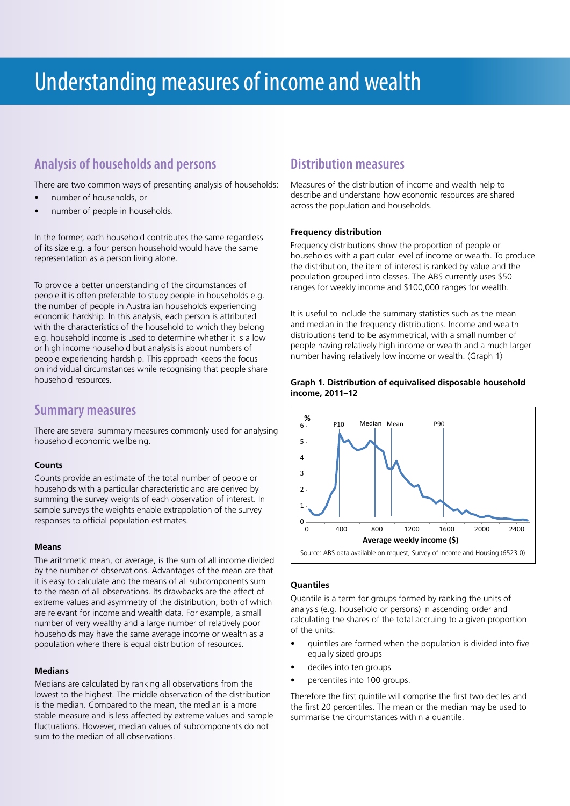## Understanding measures of income and wealth

## **Analysis of households and persons**

There are two common ways of presenting analysis of households:

- number of households, or
- number of people in households.

In the former, each household contributes the same regardless of its size e.g. a four person household would have the same representation as a person living alone.

To provide a better understanding of the circumstances of people it is often preferable to study people in households e.g. the number of people in Australian households experiencing economic hardship. In this analysis, each person is attributed with the characteristics of the household to which they belong e.g. household income is used to determine whether it is a low or high income household but analysis is about numbers of people experiencing hardship. This approach keeps the focus on individual circumstances while recognising that people share household resources.

## **Summary measures**

There are several summary measures commonly used for analysing household economic wellbeing.

### **Counts**

Counts provide an estimate of the total number of people or households with a particular characteristic and are derived by summing the survey weights of each observation of interest. In sample surveys the weights enable extrapolation of the survey responses to official population estimates.

### **Means**

The arithmetic mean, or average, is the sum of all income divided by the number of observations. Advantages of the mean are that it is easy to calculate and the means of all subcomponents sum to the mean of all observations. Its drawbacks are the effect of extreme values and asymmetry of the distribution, both of which are relevant for income and wealth data. For example, a small number of very wealthy and a large number of relatively poor households may have the same average income or wealth as a population where there is equal distribution of resources.

### **Medians**

Medians are calculated by ranking all observations from the lowest to the highest. The middle observation of the distribution is the median. Compared to the mean, the median is a more stable measure and is less affected by extreme values and sample fluctuations. However, median values of subcomponents do not sum to the median of all observations.

## **Distribution measures**

Measures of the distribution of income and wealth help to describe and understand how economic resources are shared across the population and households.

## **Frequency distribution**

Frequency distributions show the proportion of people or households with a particular level of income or wealth. To produce the distribution, the item of interest is ranked by value and the population grouped into classes. The ABS currently uses \$50 ranges for weekly income and \$100,000 ranges for wealth.

It is useful to include the summary statistics such as the mean and median in the frequency distributions. Income and wealth distributions tend to be asymmetrical, with a small number of people having relatively high income or wealth and a much larger number having relatively low income or wealth. (Graph 1)





## **Quantiles**

Quantile is a term for groups formed by ranking the units of analysis (e.g. household or persons) in ascending order and calculating the shares of the total accruing to a given proportion of the units:

- quintiles are formed when the population is divided into five equally sized groups
- deciles into ten groups
- percentiles into 100 groups.

Therefore the first quintile will comprise the first two deciles and the first 20 percentiles. The mean or the median may be used to summarise the circumstances within a quantile.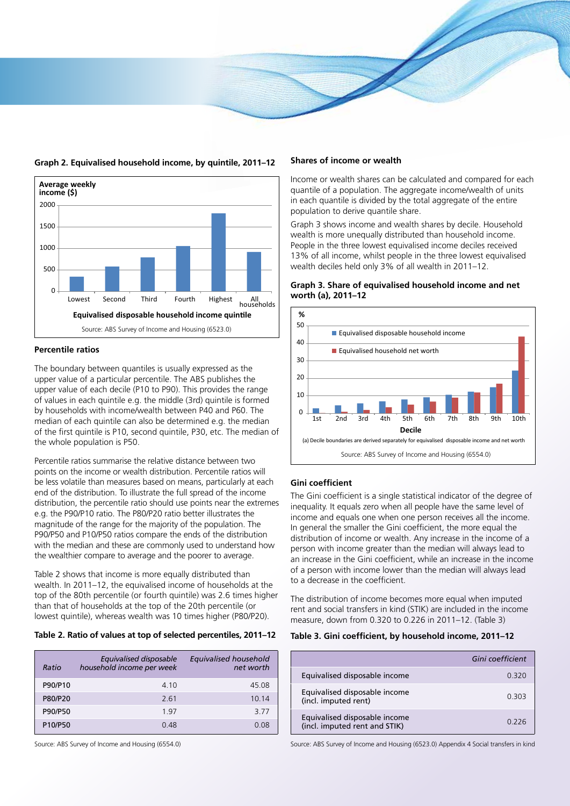

#### **Graph 2. Equivalised household income, by quintile, 2011–12**



## **Percentile ratios**

The boundary between quantiles is usually expressed as the upper value of a particular percentile. The ABS publishes the upper value of each decile (P10 to P90). This provides the range of values in each quintile e.g. the middle (3rd) quintile is formed by households with income/wealth between P40 and P60. The median of each quintile can also be determined e.g. the median of the first quintile is P10, second quintile, P30, etc. The median of the whole population is P50.

Percentile ratios summarise the relative distance between two points on the income or wealth distribution. Percentile ratios will be less volatile than measures based on means, particularly at each end of the distribution. To illustrate the full spread of the income distribution, the percentile ratio should use points near the extremes e.g. the P90/P10 ratio. The P80/P20 ratio better illustrates the magnitude of the range for the majority of the population. The P90/P50 and P10/P50 ratios compare the ends of the distribution with the median and these are commonly used to understand how the wealthier compare to average and the poorer to average.

Table 2 shows that income is more equally distributed than wealth. In 2011–12, the equivalised income of households at the top of the 80th percentile (or fourth quintile) was 2.6 times higher than that of households at the top of the 20th percentile (or lowest quintile), whereas wealth was 10 times higher (P80/P20).

## **Table 2. Ratio of values at top of selected percentiles, 2011–12**

| Ratio   | Equivalised disposable<br>household income per week | Equivalised household<br>net worth |
|---------|-----------------------------------------------------|------------------------------------|
| P90/P10 | 4 1 0                                               | 45.08                              |
| P80/P20 | 2.61                                                | 10 14                              |
| P90/P50 | 197                                                 | 377                                |
| P10/P50 | 0.48                                                | 0 Q8                               |

Source: ABS Survey of Income and Housing (6554.0)

#### **Shares of income or wealth**

Income or wealth shares can be calculated and compared for each quantile of a population. The aggregate income/wealth of units in each quantile is divided by the total aggregate of the entire population to derive quantile share.

Graph 3 shows income and wealth shares by decile. Household wealth is more unequally distributed than household income. People in the three lowest equivalised income deciles received 13% of all income, whilst people in the three lowest equivalised wealth deciles held only 3% of all wealth in 2011–12.



### **Graph 3. Share of equivalised household income and net worth (a), 2011–12**

## **Gini coefficient**

The Gini coefficient is a single statistical indicator of the degree of inequality. It equals zero when all people have the same level of income and equals one when one person receives all the income. In general the smaller the Gini coefficient, the more equal the distribution of income or wealth. Any increase in the income of a person with income greater than the median will always lead to an increase in the Gini coefficient, while an increase in the income of a person with income lower than the median will always lead to a decrease in the coefficient.

The distribution of income becomes more equal when imputed rent and social transfers in kind (STIK) are included in the income measure, down from 0.320 to 0.226 in 2011–12. (Table 3)

#### **Table 3. Gini coefficient, by household income, 2011–12**

|                                                                | Gini coefficient |
|----------------------------------------------------------------|------------------|
| Equivalised disposable income                                  | 0.320            |
| Equivalised disposable income<br>(incl. imputed rent)          | 0.303            |
| Equivalised disposable income<br>(incl. imputed rent and STIK) | በ 226            |

Source: ABS Survey of Income and Housing (6523.0) Appendix 4 Social transfers in kind